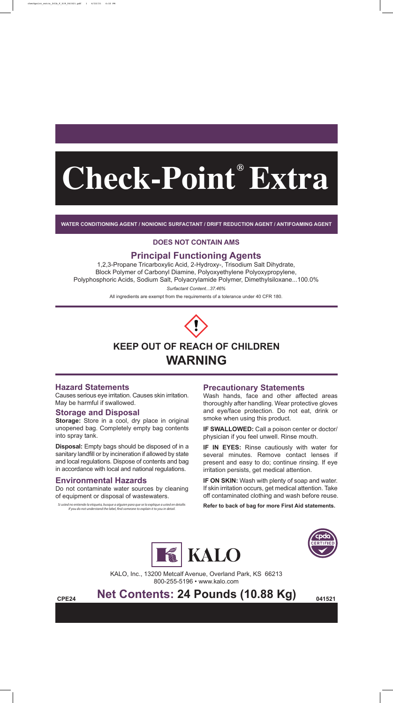**WATER CONDITIONING AGENT / NONIONIC SURFACTANT / DRIFT REDUCTION AGENT / ANTIFOAMING AGENT**

# **Principal Functioning Agents**

1,2,3-Propane Tricarboxylic Acid, 2-Hydroxy-, Trisodium Salt Dihydrate, Block Polymer of Carbonyl Diamine, Polyoxyethylene Polyoxypropylene, Polyphosphoric Acids, Sodium Salt, Polyacrylamide Polymer, Dimethylsiloxane...100.0%

*Surfactant Content...37.46%*

All ingredients are exempt from the requirements of a tolerance under 40 CFR 180.



# **WARNING**

### **Hazard Statements**

Causes serious eye irritation. Causes skin irritation. May be harmful if swallowed.

> KALO, Inc., 13200 Metcalf Avenue, Overland Park, KS 66213 800-255-5196 • www.kalo.com

# **REPE24 Net Contents: 24 Pounds (10.88 Kg)** 041521

## **Storage and Disposal**

**Storage:** Store in a cool, dry place in original unopened bag. Completely empty bag contents into spray tank.

> **IF ON SKIN:** Wash with plenty of soap and water. If skin irritation occurs, get medical attention. Take off contaminated clothing and wash before reuse.

*Si usted no entiende la etiqueta, busque a alguien para que se la explique a usted en detalle.*  If you do not understand the label, find someone to explain it to you in detail.

**Disposal:** Empty bags should be disposed of in a sanitary landfill or by incineration if allowed by state and local regulations. Dispose of contents and bag in accordance with local and national regulations.

# **Check-Point Extra ®**

# **Environmental Hazards**

Do not contaminate water sources by cleaning of equipment or disposal of wastewaters.

## **Precautionary Statements**

Wash hands, face and other affected areas thoroughly after handling. Wear protective gloves and eye/face protection. Do not eat, drink or smoke when using this product.

**IF SWALLOWED:** Call a poison center or doctor/ physician if you feel unwell. Rinse mouth.

**IF IN EYES:** Rinse cautiously with water for several minutes. Remove contact lenses if present and easy to do; continue rinsing. If eye irritation persists, get medical attention.

**Refer to back of bag for more First Aid statements.**





#### **DOES NOT CONTAIN AMS**